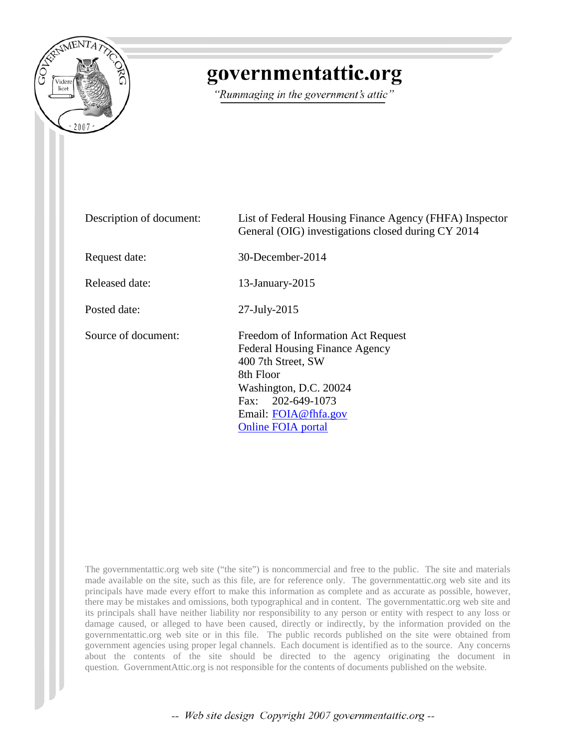

# governmentattic.org

"Rummaging in the government's attic"

| Description of document: | List of Federal Housing Finance Agency (FHFA) Inspector<br>General (OIG) investigations closed during CY 2014                                                                                                      |
|--------------------------|--------------------------------------------------------------------------------------------------------------------------------------------------------------------------------------------------------------------|
| Request date:            | $30$ -December-2014                                                                                                                                                                                                |
| Released date:           | $13$ -January-2015                                                                                                                                                                                                 |
| Posted date:             | $27$ -July- $2015$                                                                                                                                                                                                 |
| Source of document:      | Freedom of Information Act Request<br><b>Federal Housing Finance Agency</b><br>400 7th Street, SW<br>8th Floor<br>Washington, D.C. 20024<br>Fax: 202-649-1073<br>Email: FOIA@fhfa.gov<br><b>Online FOIA portal</b> |

The governmentattic.org web site ("the site") is noncommercial and free to the public. The site and materials made available on the site, such as this file, are for reference only. The governmentattic.org web site and its principals have made every effort to make this information as complete and as accurate as possible, however, there may be mistakes and omissions, both typographical and in content. The governmentattic.org web site and its principals shall have neither liability nor responsibility to any person or entity with respect to any loss or damage caused, or alleged to have been caused, directly or indirectly, by the information provided on the governmentattic.org web site or in this file. The public records published on the site were obtained from government agencies using proper legal channels. Each document is identified as to the source. Any concerns about the contents of the site should be directed to the agency originating the document in question. GovernmentAttic.org is not responsible for the contents of documents published on the website.

-- Web site design Copyright 2007 governmentattic.org --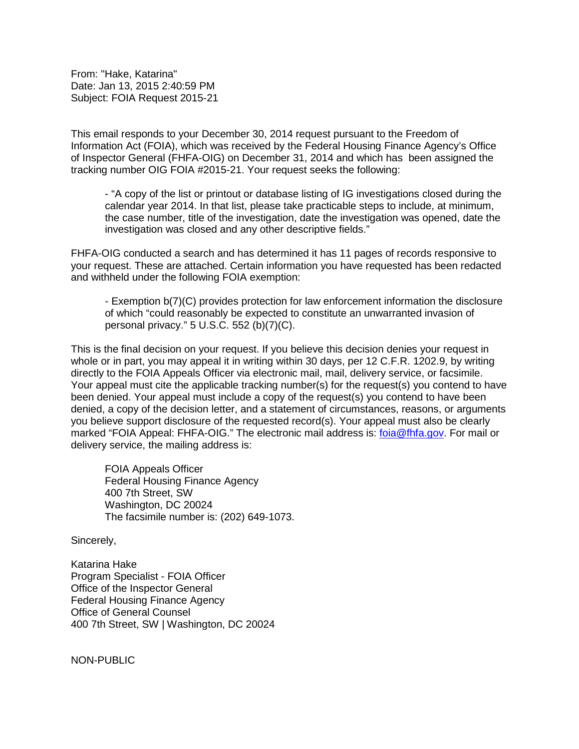From: "Hake, Katarina" Date: Jan 13, 2015 2:40:59 PM Subject: FOIA Request 2015-21

This email responds to your December 30, 2014 request pursuant to the Freedom of Information Act (FOIA), which was received by the Federal Housing Finance Agency's Office of Inspector General (FHFA-OIG) on December 31, 2014 and which has been assigned the tracking number OIG FOIA #2015-21. Your request seeks the following:

- "A copy of the list or printout or database listing of IG investigations closed during the calendar year 2014. In that list, please take practicable steps to include, at minimum, the case number, title of the investigation, date the investigation was opened, date the investigation was closed and any other descriptive fields."

FHFA-OIG conducted a search and has determined it has 11 pages of records responsive to your request. These are attached. Certain information you have requested has been redacted and withheld under the following FOIA exemption:

- Exemption b(7)(C) provides protection for law enforcement information the disclosure of which "could reasonably be expected to constitute an unwarranted invasion of personal privacy." 5 U.S.C. 552 (b)(7)(C).

This is the final decision on your request. If you believe this decision denies your request in whole or in part, you may appeal it in writing within 30 days, per 12 C.F.R. 1202.9, by writing directly to the FOIA Appeals Officer via electronic mail, mail, delivery service, or facsimile. Your appeal must cite the applicable tracking number(s) for the request(s) you contend to have been denied. Your appeal must include a copy of the request(s) you contend to have been denied, a copy of the decision letter, and a statement of circumstances, reasons, or arguments you believe support disclosure of the requested record(s). Your appeal must also be clearly marked "FOIA Appeal: FHFA-OIG." The electronic mail address is: [foia@fhfa.gov.](mailto:foia@fhfa.gov) For mail or delivery service, the mailing address is:

FOIA Appeals Officer Federal Housing Finance Agency 400 7th Street, SW Washington, DC 20024 The facsimile number is: (202) 649-1073.

Sincerely,

Katarina Hake Program Specialist - FOIA Officer Office of the Inspector General Federal Housing Finance Agency Office of General Counsel 400 7th Street, SW | Washington, DC 20024

NON-PUBLIC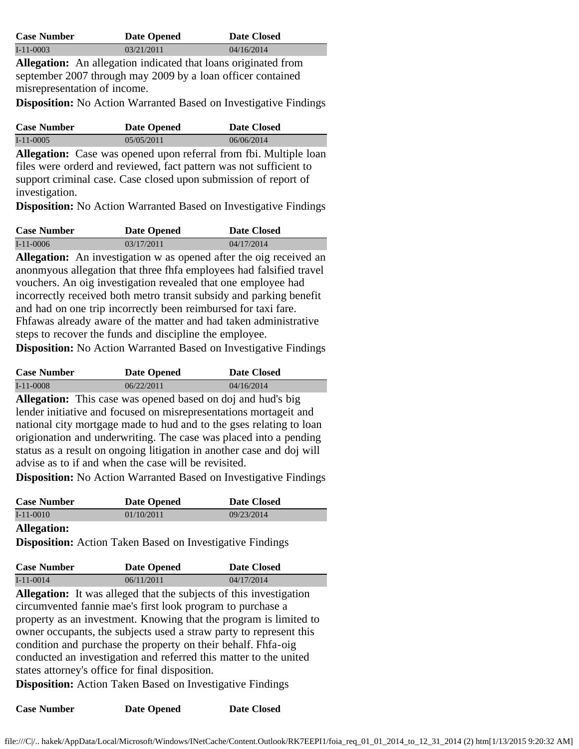| <b>Case Number</b> | <b>Date Opened</b> | Date Closed |
|--------------------|--------------------|-------------|
| $I-11-0003$        | 03/21/2011         | 04/16/2014  |

**Allegation:** An allegation indicated that loans originated from september 2007 through may 2009 by a loan officer contained misrepresentation of income.

**Disposition:** No Action Warranted Based on Investigative Findings

| <b>Case Number</b> | <b>Date Opened</b>                                              | Date Closed |
|--------------------|-----------------------------------------------------------------|-------------|
| $I-11-0005$        | 0.5/0.5/2011                                                    | 06/06/2014  |
|                    | Allegation: Case was opened upon referral from thi Multiple los |             |

**Allegation:** Case was opened upon referral from fbi. Multiple loan files were orderd and reviewed, fact pattern was not sufficient to support criminal case. Case closed upon submission of report of investigation.

**Disposition:** No Action Warranted Based on Investigative Findings

| <b>Case Number</b> | <b>Date Opened</b> | Date Closed |
|--------------------|--------------------|-------------|
| $I-11-0006$        | 03/17/2011         | 04/17/2014  |

**Allegation:** An investigation w as opened after the oig received an anonmyous allegation that three fhfa employees had falsified travel vouchers. An oig investigation revealed that one employee had incorrectly received both metro transit subsidy and parking benefit and had on one trip incorrectly been reimbursed for taxi fare. Fhfawas already aware of the matter and had taken administrative steps to recover the funds and discipline the employee.

**Disposition:** No Action Warranted Based on Investigative Findings

| <b>Case Number</b> | <b>Date Opened</b> | <b>Date Closed</b> |
|--------------------|--------------------|--------------------|
| $I-11-0008$        | 06/22/2011         | 04/16/2014         |

**Allegation:** This case was opened based on doj and hud's big lender initiative and focused on misrepresentations mortageit and national city mortgage made to hud and to the gses relating to loan origionation and underwriting. The case was placed into a pending status as a result on ongoing litigation in another case and doj will advise as to if and when the case will be revisited.

**Disposition:** No Action Warranted Based on Investigative Findings

| <b>Case Number</b> | <b>Date Opened</b> | <b>Date Closed</b> |
|--------------------|--------------------|--------------------|
| $I-11-0010$        | 01/10/2011         | 09/23/2014         |
|                    |                    |                    |

**Allegation:**

**Disposition:** Action Taken Based on Investigative Findings

| <b>Case Number</b> | <b>Date Opened</b> | <b>Date Closed</b> |
|--------------------|--------------------|--------------------|
| $I-11-0014$        | 06/11/2011         | 04/17/2014         |
|                    |                    |                    |

**Allegation:** It was alleged that the subjects of this investigation circumvented fannie mae's first look program to purchase a property as an investment. Knowing that the program is limited to owner occupants, the subjects used a straw party to represent this condition and purchase the property on their behalf. Fhfa-oig conducted an investigation and referred this matter to the united states attorney's office for final disposition.

**Disposition:** Action Taken Based on Investigative Findings

**Case Number Date Opened Date Closed**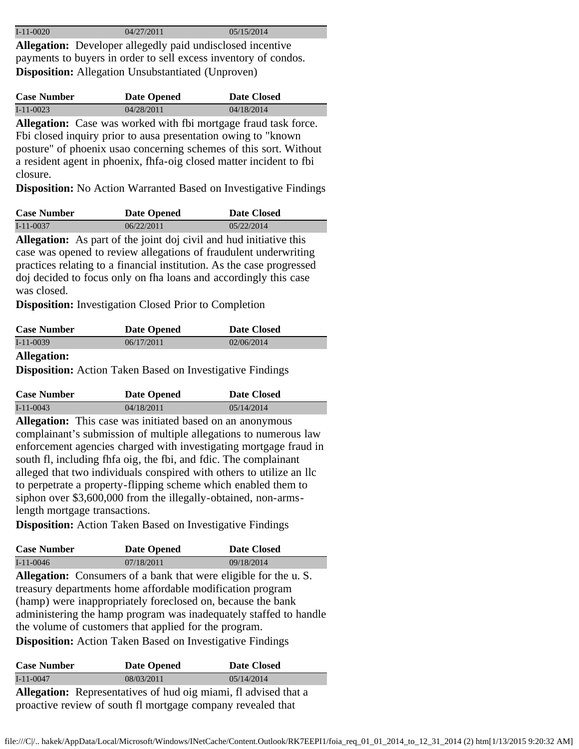| $I-11-0020$ | 04/27/2011 | 05/15/2014 |
|-------------|------------|------------|
|             |            |            |

**Allegation:** Developer allegedly paid undisclosed incentive payments to buyers in order to sell excess inventory of condos. **Disposition:** Allegation Unsubstantiated (Unproven)

| <b>Case Number</b> | <b>Date Opened</b> | <b>Date Closed</b>                                                                                                                                                                                                                                                                                                                                                        |
|--------------------|--------------------|---------------------------------------------------------------------------------------------------------------------------------------------------------------------------------------------------------------------------------------------------------------------------------------------------------------------------------------------------------------------------|
| $I-11-0023$        | 04/28/2011         | 04/18/2014                                                                                                                                                                                                                                                                                                                                                                |
|                    |                    | $\mathbf{A} \mathbf{H}$ , $\mathbf{A}^{\mathbf{g}}$ , $\mathbf{A}^{\mathbf{g}}$ , $\mathbf{A}^{\mathbf{g}}$ , $\mathbf{A}^{\mathbf{g}}$ , $\mathbf{A}^{\mathbf{g}}$ , $\mathbf{A}^{\mathbf{g}}$ , $\mathbf{A}^{\mathbf{g}}$ , $\mathbf{A}^{\mathbf{g}}$ , $\mathbf{A}^{\mathbf{g}}$ , $\mathbf{A}^{\mathbf{g}}$ , $\mathbf{A}^{\mathbf{g}}$ , $\mathbf{A}^{\mathbf{g}}$ , |

**Allegation:** Case was worked with fbi mortgage fraud task force. Fbi closed inquiry prior to ausa presentation owing to "known posture" of phoenix usao concerning schemes of this sort. Without a resident agent in phoenix, fhfa-oig closed matter incident to fbi closure.

**Disposition:** No Action Warranted Based on Investigative Findings

| <b>Case Number</b> | <b>Date Opened</b> | Date Closed |
|--------------------|--------------------|-------------|
| $I-11-0037$        | 06/22/2011         | 05/22/2014  |

**Allegation:** As part of the joint doj civil and hud initiative this case was opened to review allegations of fraudulent underwriting practices relating to a financial institution. As the case progressed doj decided to focus only on fha loans and accordingly this case was closed.

**Disposition:** Investigation Closed Prior to Completion

| <b>Case Number</b> | <b>Date Opened</b> | <b>Date Closed</b> |
|--------------------|--------------------|--------------------|
| $I-11-0039$        | 06/17/2011         | 02/06/2014         |
|                    |                    |                    |

**Allegation:**

**Disposition:** Action Taken Based on Investigative Findings

| <b>Case Number</b> | <b>Date Opened</b> | Date Closed |
|--------------------|--------------------|-------------|
| $I-11-0043$        | 04/18/2011         | 05/14/2014  |

**Allegation:** This case was initiated based on an anonymous complainant's submission of multiple allegations to numerous law enforcement agencies charged with investigating mortgage fraud in south fl, including fhfa oig, the fbi, and fdic. The complainant alleged that two individuals conspired with others to utilize an llc to perpetrate a property-flipping scheme which enabled them to siphon over \$3,600,000 from the illegally-obtained, non-armslength mortgage transactions.

**Disposition:** Action Taken Based on Investigative Findings

| <b>Case Number</b> | <b>Date Opened</b>                                            | Date Closed |
|--------------------|---------------------------------------------------------------|-------------|
| $I-11-0046$        | 07/18/2011                                                    | 09/18/2014  |
|                    | Allogation: Consumers of a bank that were eligible for the u. |             |

**Allegation:** Consumers of a bank that were eligible for the u. S. treasury departments home affordable modification program (hamp) were inappropriately foreclosed on, because the bank administering the hamp program was inadequately staffed to handle the volume of customers that applied for the program. **Disposition:** Action Taken Based on Investigative Findings

|             | <b>Case Number</b> | <b>Date Opened</b> | <b>Date Closed</b>                                   |
|-------------|--------------------|--------------------|------------------------------------------------------|
| $I-11-0047$ |                    | 08/03/2011         | 05/14/2014                                           |
| .           |                    |                    | $\alpha$ is the contract of the contract of $\alpha$ |

**Allegation:** Representatives of hud oig miami, fl advised that a proactive review of south fl mortgage company revealed that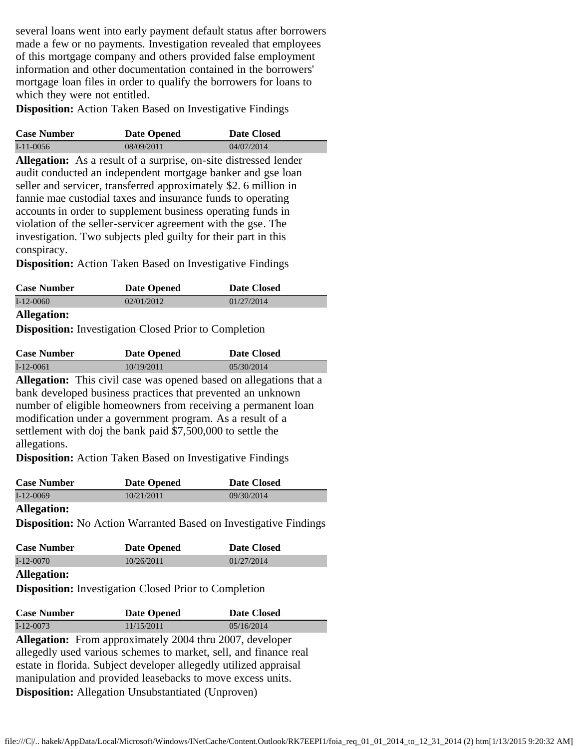several loans went into early payment default status after borrowers made a few or no payments. Investigation revealed that employees of this mortgage company and others provided false employment information and other documentation contained in the borrowers' mortgage loan files in order to qualify the borrowers for loans to which they were not entitled.

**Disposition:** Action Taken Based on Investigative Findings

| <b>Case Number</b> | <b>Date Opened</b> | Date Closed |
|--------------------|--------------------|-------------|
| $I-11-0056$        | 08/09/2011         | 04/07/2014  |

**Allegation:** As a result of a surprise, on-site distressed lender audit conducted an independent mortgage banker and gse loan seller and servicer, transferred approximately \$2. 6 million in fannie mae custodial taxes and insurance funds to operating accounts in order to supplement business operating funds in violation of the seller-servicer agreement with the gse. The investigation. Two subjects pled guilty for their part in this conspiracy.

**Disposition:** Action Taken Based on Investigative Findings

| <b>Case Number</b> | <b>Date Opened</b> | Date Closed |
|--------------------|--------------------|-------------|
| $I-12-0060$        | 02/01/2012         | 01/27/2014  |
| .                  |                    |             |

## **Allegation:**

**Disposition:** Investigation Closed Prior to Completion

| <b>Case Number</b> | <b>Date Opened</b> | <b>Date Closed</b> |
|--------------------|--------------------|--------------------|
| $I-12-0061$        | 10/19/2011         | 0.5/30/2014        |
|                    |                    |                    |

**Allegation:** This civil case was opened based on allegations that a bank developed business practices that prevented an unknown number of eligible homeowners from receiving a permanent loan modification under a government program. As a result of a settlement with doj the bank paid \$7,500,000 to settle the allegations.

**Disposition:** Action Taken Based on Investigative Findings

| <b>Case Number</b> | <b>Date Opened</b> | <b>Date Closed</b> |  |
|--------------------|--------------------|--------------------|--|
| $I-12-0069$        | 10/21/2011         | 09/30/2014         |  |
| .                  |                    |                    |  |

## **Allegation:**

**Disposition:** No Action Warranted Based on Investigative Findings

| <b>Case Number</b> | <b>Date Opened</b> | Date Closed |
|--------------------|--------------------|-------------|
| $I-12-0070$        | 10/26/2011         | 01/27/2014  |
| <b>Allegation:</b> |                    |             |

**Disposition:** Investigation Closed Prior to Completion

| <b>Case Number</b> | <b>Date Opened</b> | Date Closed |
|--------------------|--------------------|-------------|
| $I-12-0073$        | 11/15/2011         | 05/16/2014  |

**Allegation:** From approximately 2004 thru 2007, developer allegedly used various schemes to market, sell, and finance real estate in florida. Subject developer allegedly utilized appraisal manipulation and provided leasebacks to move excess units. **Disposition:** Allegation Unsubstantiated (Unproven)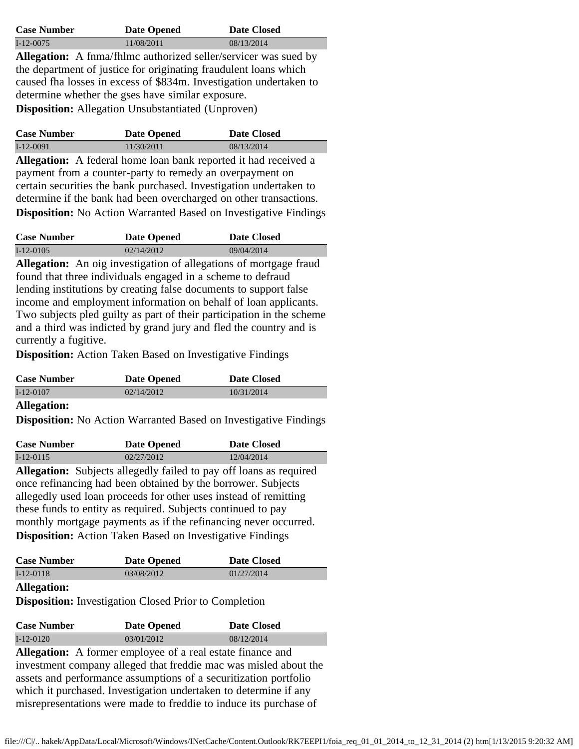| <b>Case Number</b> | <b>Date Opened</b> | Date Closed |
|--------------------|--------------------|-------------|
| $I-12-0075$        | 11/08/2011         | 08/13/2014  |

**Allegation:** A fnma/fhlmc authorized seller/servicer was sued by the department of justice for originating fraudulent loans which caused fha losses in excess of \$834m. Investigation undertaken to determine whether the gses have similar exposure. **Disposition:** Allegation Unsubstantiated (Unproven)

| <b>Case Number</b> | Date Opened                                                     | Date Closed |
|--------------------|-----------------------------------------------------------------|-------------|
| $I-12-0091$        | 11/30/2011                                                      | 08/13/2014  |
|                    | Allegation: A federal home loan bank reported it had received a |             |

**Allegation:** A federal home loan bank reported it had received a payment from a counter-party to remedy an overpayment on certain securities the bank purchased. Investigation undertaken to determine if the bank had been overcharged on other transactions. **Disposition:** No Action Warranted Based on Investigative Findings

| <b>Case Number</b> | <b>Date Opened</b> | Date Closed |
|--------------------|--------------------|-------------|
| $I-12-0105$        | 02/14/2012         | 09/04/2014  |

**Allegation:** An oig investigation of allegations of mortgage fraud found that three individuals engaged in a scheme to defraud lending institutions by creating false documents to support false income and employment information on behalf of loan applicants. Two subjects pled guilty as part of their participation in the scheme and a third was indicted by grand jury and fled the country and is currently a fugitive.

**Disposition:** Action Taken Based on Investigative Findings

| <b>Case Number</b> | <b>Date Opened</b> | <b>Date Closed</b> |
|--------------------|--------------------|--------------------|
| $I-12-0107$        | 02/14/2012         | 10/31/2014         |
|                    |                    |                    |

**Allegation:**

**Disposition:** No Action Warranted Based on Investigative Findings

| <b>Case Number</b> | <b>Date Opened</b> | <b>Date Closed</b> |  |  |
|--------------------|--------------------|--------------------|--|--|
| $I-12-0115$        | 02/27/2012         | 12/04/2014         |  |  |
| .                  |                    |                    |  |  |

**Allegation:** Subjects allegedly failed to pay off loans as required once refinancing had been obtained by the borrower. Subjects allegedly used loan proceeds for other uses instead of remitting these funds to entity as required. Subjects continued to pay monthly mortgage payments as if the refinancing never occurred. **Disposition:** Action Taken Based on Investigative Findings

| <b>Case Number</b> | <b>Date Opened</b> | <b>Date Closed</b> |
|--------------------|--------------------|--------------------|
| $I-12-0118$        | 03/08/2012         | 01/27/2014         |
|                    |                    |                    |

## **Allegation:**

**Disposition:** Investigation Closed Prior to Completion

| <b>Case Number</b>                                                | <b>Date Opened</b> | <b>Date Closed</b>                                                |
|-------------------------------------------------------------------|--------------------|-------------------------------------------------------------------|
| $I-12-0120$                                                       | 03/01/2012         | 08/12/2014                                                        |
| <b>Allegation:</b> A former employee of a real estate finance and |                    |                                                                   |
|                                                                   |                    | investment company alleged that freddie mac was misled about the  |
|                                                                   |                    | assets and performance assumptions of a securitization portfolio  |
|                                                                   |                    | which it purchased. Investigation undertaken to determine if any  |
|                                                                   |                    | misrepresentations were made to freddie to induce its purchase of |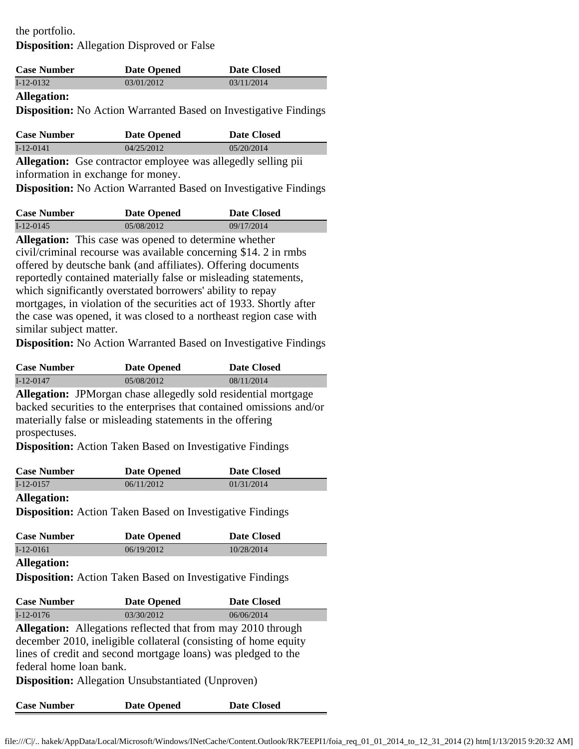# the portfolio.

**Disposition:** Allegation Disproved or False

| <b>Case Number</b> | <b>Date Opened</b> | <b>Date Closed</b> |
|--------------------|--------------------|--------------------|
| $I-12-0132$        | 03/01/2012         | 03/11/2014         |
|                    |                    |                    |

## **Allegation:**

**Disposition:** No Action Warranted Based on Investigative Findings

| <b>Case Number</b> | <b>Date Opened</b> | <b>Date Closed</b> |
|--------------------|--------------------|--------------------|
| $I-12-0141$        | 04/25/2012         | 05/20/2014         |
|                    |                    |                    |

**Allegation:** Gse contractor employee was allegedly selling pii information in exchange for money.

**Disposition:** No Action Warranted Based on Investigative Findings

| <b>Case Number</b> | <b>Date Opened</b> | <b>Date Closed</b> |
|--------------------|--------------------|--------------------|
| $I-12-0145$        | 05/08/2012         | 09/17/2014         |
|                    |                    |                    |

**Allegation:** This case was opened to determine whether civil/criminal recourse was available concerning \$14. 2 in rmbs offered by deutsche bank (and affiliates). Offering documents reportedly contained materially false or misleading statements, which significantly overstated borrowers' ability to repay mortgages, in violation of the securities act of 1933. Shortly after the case was opened, it was closed to a northeast region case with similar subject matter.

**Disposition:** No Action Warranted Based on Investigative Findings

| <b>Case Number</b> |  |      | <b>Date Opened</b> | Date Closed |  |  |            |  |  |
|--------------------|--|------|--------------------|-------------|--|--|------------|--|--|
| $I-12-0147$        |  |      | 05/08/2012         |             |  |  | 08/11/2014 |  |  |
| .                  |  | ---- |                    |             |  |  |            |  |  |

**Allegation:** JPMorgan chase allegedly sold residential mortgage backed securities to the enterprises that contained omissions and/or materially false or misleading statements in the offering prospectuses.

**Disposition:** Action Taken Based on Investigative Findings

| <b>Case Number</b> | <b>Date Opened</b> | <b>Date Closed</b> |
|--------------------|--------------------|--------------------|
| $I-12-0157$        | 06/11/2012         | 01/31/2014         |
| .                  |                    |                    |

## **Allegation:**

**Disposition:** Action Taken Based on Investigative Findings

| <b>Case Number</b> | <b>Date Opened</b> | <b>Date Closed</b> |
|--------------------|--------------------|--------------------|
| $I-12-0161$        | 06/19/2012         | 10/28/2014         |
|                    |                    |                    |

## **Allegation:**

**Disposition:** Action Taken Based on Investigative Findings

| <b>Case Number</b> | <b>Date Opened</b>                                           | Date Closed |
|--------------------|--------------------------------------------------------------|-------------|
| $I-12-0176$        | 03/30/2012                                                   | 06/06/2014  |
|                    | Allegations Allegations reflected that from may 2010 through |             |

**Allegation:** Allegations reflected that from may 2010 through december 2010, ineligible collateral (consisting of home equity lines of credit and second mortgage loans) was pledged to the federal home loan bank.

**Disposition:** Allegation Unsubstantiated (Unproven)

**Case Number Date Opened Date Closed**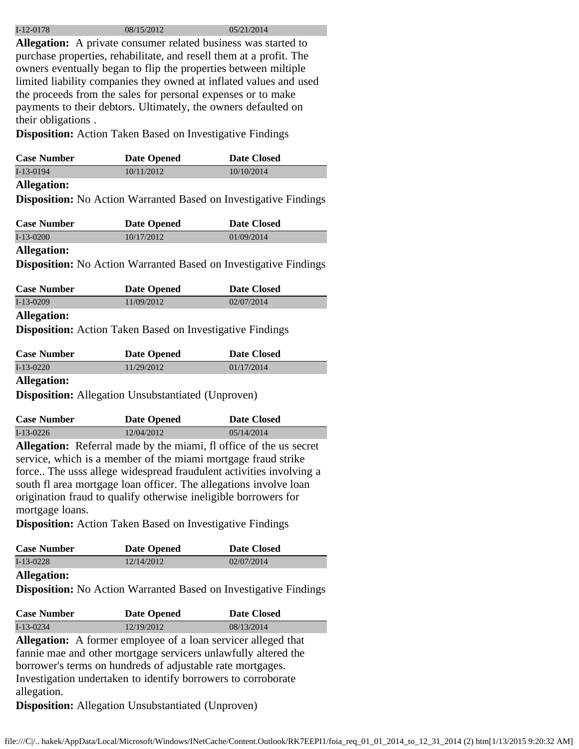| $I-12-0178$ | 08/15/2012 | 05/21/2014 |
|-------------|------------|------------|
|-------------|------------|------------|

**Allegation:** A private consumer related business was started to purchase properties, rehabilitate, and resell them at a profit. The owners eventually began to flip the properties between miltiple limited liability companies they owned at inflated values and used the proceeds from the sales for personal expenses or to make payments to their debtors. Ultimately, the owners defaulted on their obligations .

**Disposition:** Action Taken Based on Investigative Findings

| <b>Case Number</b> | <b>Date Opened</b> | <b>Date Closed</b> |  |
|--------------------|--------------------|--------------------|--|
| $I-13-0194$        | 10/11/2012         | 10/10/2014         |  |
| .                  |                    |                    |  |

#### **Allegation:**

**Disposition:** No Action Warranted Based on Investigative Findings

| <b>Case Number</b> | <b>Date Opened</b> | <b>Date Closed</b> |
|--------------------|--------------------|--------------------|
| $I-13-0200$        | 10/17/2012         | 01/09/2014         |
| $\blacksquare$     |                    |                    |

#### **Allegation:**

**Disposition:** No Action Warranted Based on Investigative Findings

| <b>Case Number</b> | <b>Date Opened</b> | Date Closed |
|--------------------|--------------------|-------------|
| $I-13-0209$        | 11/09/2012         | 02/07/2014  |
| <b>Allegation:</b> |                    |             |

**Disposition:** Action Taken Based on Investigative Findings

| <b>Case Number</b> | <b>Date Opened</b> | <b>Date Closed</b> |
|--------------------|--------------------|--------------------|
| $I-13-0220$        | 11/29/2012         | 01/17/2014         |
| .                  |                    |                    |

## **Allegation:**

**Disposition:** Allegation Unsubstantiated (Unproven)

| <b>Case Number</b> | <b>Date Opened</b> | <b>Date Closed</b> |
|--------------------|--------------------|--------------------|
| $I-13-0226$        | 12/04/2012         | 05/14/2014         |

**Allegation:** Referral made by the miami, fl office of the us secret service, which is a member of the miami mortgage fraud strike force.. The usss allege widespread fraudulent activities involving a south fl area mortgage loan officer. The allegations involve loan origination fraud to qualify otherwise ineligible borrowers for mortgage loans.

**Disposition:** Action Taken Based on Investigative Findings

| <b>Case Number</b> | <b>Date Opened</b> | Date Closed |
|--------------------|--------------------|-------------|
| $I-13-0228$        | 12/14/2012         | 02/07/2014  |
| .                  |                    |             |

## **Allegation:**

**Disposition:** No Action Warranted Based on Investigative Findings

| <b>Case Number</b> | <b>Date Opened</b> | <b>Date Closed</b> |
|--------------------|--------------------|--------------------|
| $I-13-0234$        | 12/19/2012         | 08/13/2014         |

**Allegation:** A former employee of a loan servicer alleged that fannie mae and other mortgage servicers unlawfully altered the borrower's terms on hundreds of adjustable rate mortgages. Investigation undertaken to identify borrowers to corroborate allegation.

**Disposition:** Allegation Unsubstantiated (Unproven)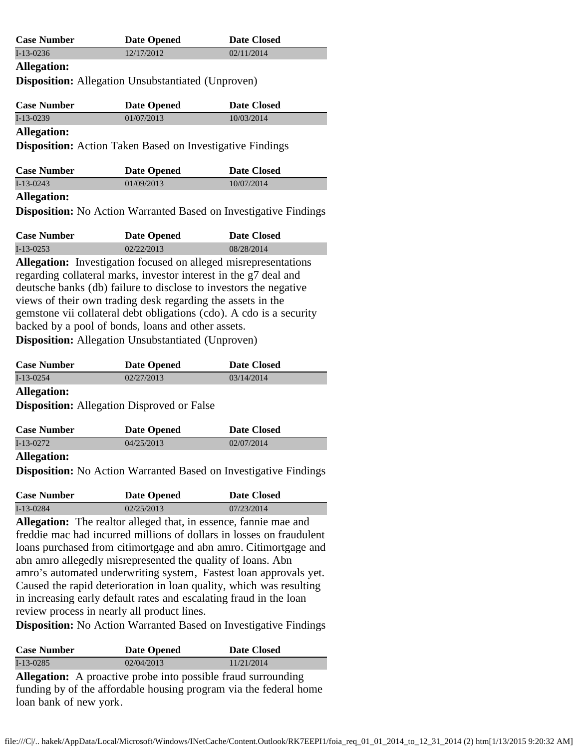| <b>Case Number</b> | <b>Date Opened</b> | Date Closed |
|--------------------|--------------------|-------------|
| $I-13-0236$        | 12/17/2012         | 02/11/2014  |
| <b>Allegation:</b> |                    |             |

**Disposition:** Allegation Unsubstantiated (Unproven)

| <b>Case Number</b> | <b>Date Opened</b> | Date Closed |
|--------------------|--------------------|-------------|
| $I-13-0239$        | 01/07/2013         | 10/03/2014  |
| <b>Allegation:</b> |                    |             |

**Disposition:** Action Taken Based on Investigative Findings

| <b>Case Number</b>                                                                                     | <b>Date Opened</b> | Date Closed |  |
|--------------------------------------------------------------------------------------------------------|--------------------|-------------|--|
| $I-13-0243$                                                                                            | 01/09/2013         | 10/07/2014  |  |
| $\triangle$ 11. $\triangle$ 4. $\triangle$ $\triangle$ $\triangle$ $\triangle$ $\triangle$ $\triangle$ |                    |             |  |

**Allegation:**

**Disposition:** No Action Warranted Based on Investigative Findings

| <b>Case Number</b>                                          | <b>Date Opened</b> | <b>Date Closed</b>                                                     |
|-------------------------------------------------------------|--------------------|------------------------------------------------------------------------|
| $I-13-0253$                                                 | 02/22/2013         | 08/28/2014                                                             |
|                                                             |                    | <b>Allegation:</b> Investigation focused on alleged misrepresentations |
|                                                             |                    | regarding collateral marks, investor interest in the g7 deal and       |
|                                                             |                    | deutsche banks (db) failure to disclose to investors the negative      |
| views of their own trading desk regarding the assets in the |                    |                                                                        |
|                                                             |                    | gemstone vii collateral debt obligations (cdo). A cdo is a security    |
| backed by a pool of bonds, loans and other assets.          |                    |                                                                        |
| Dignosition: Allegation Unsubstantiated (Unproven)          |                    |                                                                        |

**Disposition:** Allegation Unsubstantiated (Unproven)

| <b>Case Number</b> | <b>Date Opened</b> | <b>Date Closed</b> |
|--------------------|--------------------|--------------------|
| $I-13-0254$        | 02/27/2013         | 03/14/2014         |

**Allegation:**

**Disposition:** Allegation Disproved or False

| <b>Case Number</b>        | <b>Date Opened</b> | Date Closed |
|---------------------------|--------------------|-------------|
| $I-13-0272$<br>04/25/2013 |                    | 02/07/2014  |

## **Allegation:**

**Disposition:** No Action Warranted Based on Investigative Findings

| <b>Case Number</b> | <b>Date Opened</b> | <b>Date Closed</b> |
|--------------------|--------------------|--------------------|
| $I-13-0284$        | 02/25/2013         | 07/23/2014         |

**Allegation:** The realtor alleged that, in essence, fannie mae and freddie mac had incurred millions of dollars in losses on fraudulent loans purchased from citimortgage and abn amro. Citimortgage and abn amro allegedly misrepresented the quality of loans. Abn amro's automated underwriting system, Fastest loan approvals yet. Caused the rapid deterioration in loan quality, which was resulting in increasing early default rates and escalating fraud in the loan review process in nearly all product lines.

**Disposition:** No Action Warranted Based on Investigative Findings

| <b>Case Number</b> | <b>Date Opened</b> | <b>Date Closed</b> |
|--------------------|--------------------|--------------------|
| $I-13-0285$        | 02/04/2013         | 11/21/2014         |
|                    |                    |                    |

**Allegation:** A proactive probe into possible fraud surrounding funding by of the affordable housing program via the federal home loan bank of new york.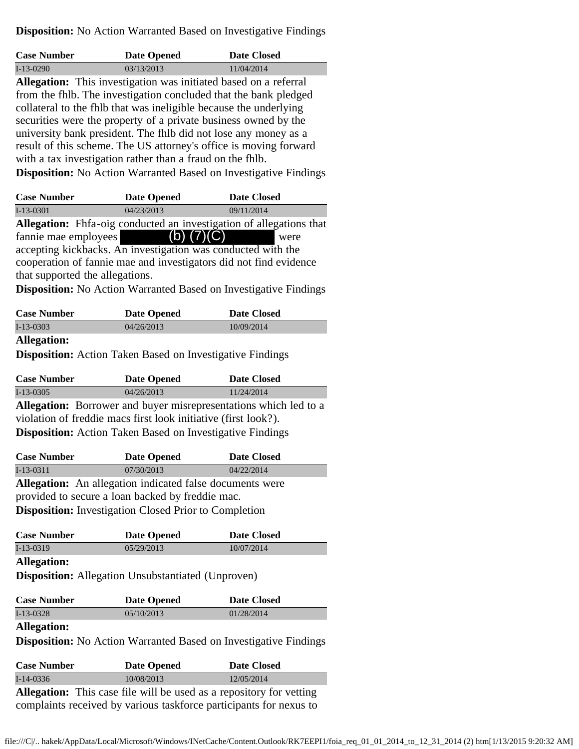**Disposition:** No Action Warranted Based on Investigative Findings

| <b>Case Number</b> | <b>Date Opened</b> | Date Closed |
|--------------------|--------------------|-------------|
| $I-13-0290$        | 03/13/2013         | 11/04/2014  |

**Allegation:** This investigation was initiated based on a referral from the fhlb. The investigation concluded that the bank pledged collateral to the fhlb that was ineligible because the underlying securities were the property of a private business owned by the university bank president. The fhlb did not lose any money as a result of this scheme. The US attorney's office is moving forward with a tax investigation rather than a fraud on the fhlb. **Disposition:** No Action Warranted Based on Investigative Findings

| <b>Case Number</b> | <b>Date Opened</b> | <b>Date Closed</b>                                                         |
|--------------------|--------------------|----------------------------------------------------------------------------|
| $I-13-0301$        | 04/23/2013         | 09/11/2014                                                                 |
|                    |                    | <b>Allegation:</b> Fhfa-oig conducted an investigation of allegations that |

fannie mae employees  $(5)$   $(7)(C)$  were accepting kickbacks. An investigation was conducted with the cooperation of fannie mae and investigators did not find evidence that supported the allegations. (b) (7)(C)

**Disposition:** No Action Warranted Based on Investigative Findings

| <b>Case Number</b> | <b>Date Opened</b> | <b>Date Closed</b> |
|--------------------|--------------------|--------------------|
| $I-13-0303$        | 04/26/2013         | 10/09/2014         |
| .                  |                    |                    |

## **Allegation:**

**Disposition:** Action Taken Based on Investigative Findings

| <b>Case Number</b> | <b>Date Opened</b> | <b>Date Closed</b>                                                      |
|--------------------|--------------------|-------------------------------------------------------------------------|
| $I-13-0305$        | 04/26/2013         | 11/24/2014                                                              |
|                    |                    | <b>Allegation:</b> Borrower and buyer misrepresentations which led to a |

violation of freddie macs first look initiative (first look?).

**Disposition:** Action Taken Based on Investigative Findings

| <b>Case Number</b> | <b>Date Opened</b>                                              | <b>Date Closed</b> |
|--------------------|-----------------------------------------------------------------|--------------------|
| $I-13-0311$        | 07/30/2013                                                      | 04/22/2014         |
|                    | <b>Allegation:</b> An allegation indicated false documents were |                    |

provided to secure a loan backed by freddie mac. **Disposition:** Investigation Closed Prior to Completion

| <b>Case Number</b> | Date Opened | <b>Date Closed</b> |  |
|--------------------|-------------|--------------------|--|
| $I-13-0319$        | 0.5/29/2013 | 10/07/2014         |  |
| <b>Allegation:</b> |             |                    |  |

**Disposition:** Allegation Unsubstantiated (Unproven)

| <b>Case Number</b> | <b>Date Opened</b> | <b>Date Closed</b> |
|--------------------|--------------------|--------------------|
| $I-13-0328$        | 0.5/10/2013        | 01/28/2014         |
|                    |                    |                    |

## **Allegation:**

**Disposition:** No Action Warranted Based on Investigative Findings

| <b>Case Number</b> | <b>Date Opened</b> | <b>Date Closed</b> |  |
|--------------------|--------------------|--------------------|--|
| $I-14-0336$        | 10/08/2013         | 12/05/2014         |  |
|                    |                    |                    |  |

**Allegation:** This case file will be used as a repository for vetting complaints received by various taskforce participants for nexus to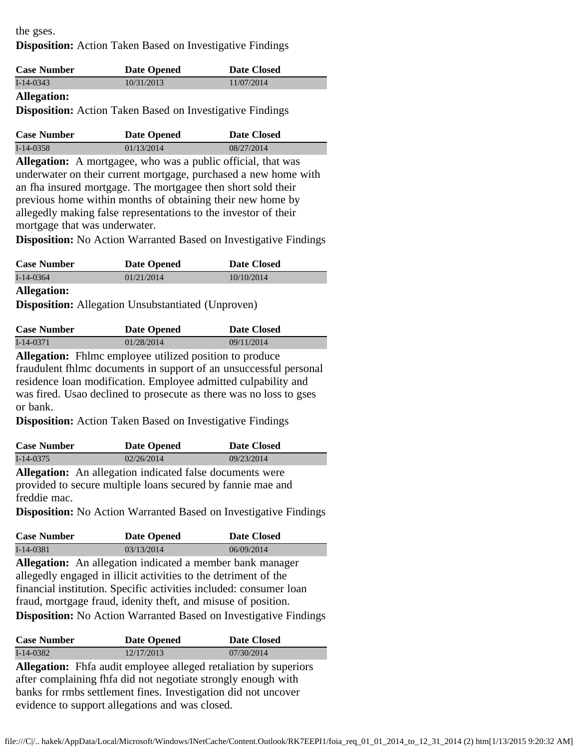#### the gses.

**Disposition:** Action Taken Based on Investigative Findings

| <b>Case Number</b> | <b>Date Opened</b> | <b>Date Closed</b> |
|--------------------|--------------------|--------------------|
| $I-14-0343$        | 10/31/2013         | 11/07/2014         |
| .                  |                    |                    |

#### **Allegation:**

**Disposition:** Action Taken Based on Investigative Findings

| <b>Case Number</b> | <b>Date Opened</b> | Date Closed |
|--------------------|--------------------|-------------|
| $I-14-0358$        | 01/13/2014         | 08/27/2014  |

**Allegation:** A mortgagee, who was a public official, that was underwater on their current mortgage, purchased a new home with an fha insured mortgage. The mortgagee then short sold their previous home within months of obtaining their new home by allegedly making false representations to the investor of their mortgage that was underwater.

**Disposition:** No Action Warranted Based on Investigative Findings

| <b>Case Number</b> | <b>Date Opened</b> | Date Closed |
|--------------------|--------------------|-------------|
| $I-14-0364$        | 01/21/2014         | 10/10/2014  |
| <b>Allegation:</b> |                    |             |

**Disposition:** Allegation Unsubstantiated (Unproven)

| <b>Case Number</b> | Date Opened | Date Closed |
|--------------------|-------------|-------------|
| $I-14-0371$        | 01/28/2014  | 09/11/2014  |

**Allegation:** Fhlmc employee utilized position to produce fraudulent fhlmc documents in support of an unsuccessful personal residence loan modification. Employee admitted culpability and was fired. Usao declined to prosecute as there was no loss to gses or bank.

**Disposition:** Action Taken Based on Investigative Findings

| <b>Case Number</b> |  |  | <b>Date Opened</b> |  |            | Date Closed |  |  |            |  |
|--------------------|--|--|--------------------|--|------------|-------------|--|--|------------|--|
| $I-14-0375$        |  |  |                    |  | 02/26/2014 |             |  |  | 09/23/2014 |  |
| .                  |  |  |                    |  |            |             |  |  |            |  |

**Allegation:** An allegation indicated false documents were provided to secure multiple loans secured by fannie mae and freddie mac.

**Disposition:** No Action Warranted Based on Investigative Findings

| <b>Case Number</b> | <b>Date Opened</b>                                               | Date Closed |
|--------------------|------------------------------------------------------------------|-------------|
| $I-14-0381$        | 03/13/2014                                                       | 06/09/2014  |
|                    | <b>Allegation:</b> An allegation indicated a member bank manager |             |

**Allegation:** An allegation indicated a member bank manager allegedly engaged in illicit activities to the detriment of the financial institution. Specific activities included: consumer loan fraud, mortgage fraud, idenity theft, and misuse of position. **Disposition:** No Action Warranted Based on Investigative Findings

| <b>Case Number</b> | <b>Date Opened</b> | Date Closed |
|--------------------|--------------------|-------------|
| I-14-0382          | 12/17/2013         | 07/30/2014  |
|                    |                    |             |

**Allegation:** Fhfa audit employee alleged retaliation by superiors after complaining fhfa did not negotiate strongly enough with banks for rmbs settlement fines. Investigation did not uncover evidence to support allegations and was closed.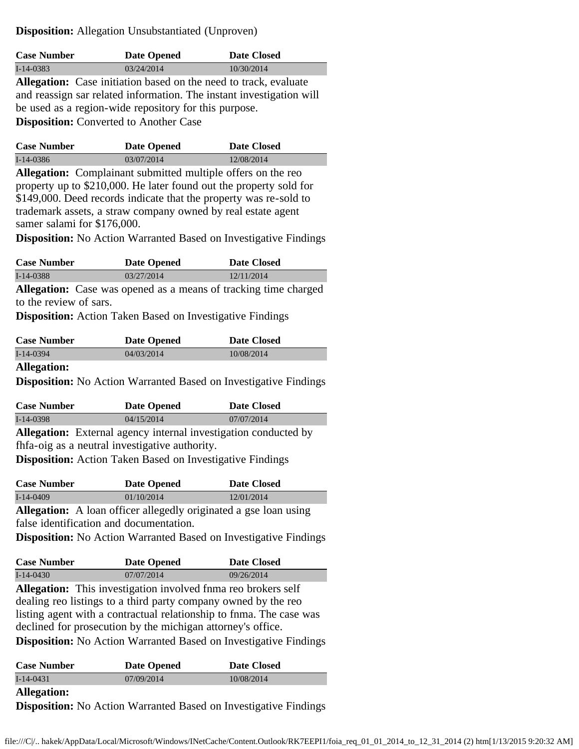**Disposition:** Allegation Unsubstantiated (Unproven)

| <b>Case Number</b> | <b>Date Opened</b>                                                      | <b>Date Closed</b> |
|--------------------|-------------------------------------------------------------------------|--------------------|
| $I-14-0383$        | 03/24/2014                                                              | 10/30/2014         |
|                    | <b>Allegation:</b> Case initiation based on the need to track, evaluate |                    |
|                    | and reassign sar related information. The instant investigation will    |                    |

be used as a region-wide repository for this purpose.

**Disposition:** Converted to Another Case

| <b>Case Number</b> | <b>Date Opened</b> | <b>Date Closed</b> |
|--------------------|--------------------|--------------------|
| $I-14-0386$        | 03/07/2014         | 12/08/2014         |

**Allegation:** Complainant submitted multiple offers on the reo property up to \$210,000. He later found out the property sold for \$149,000. Deed records indicate that the property was re-sold to trademark assets, a straw company owned by real estate agent samer salami for \$176,000.

**Disposition:** No Action Warranted Based on Investigative Findings

| <b>Case Number</b> | <b>Date Opened</b> | Date Closed |
|--------------------|--------------------|-------------|
| $I-14-0388$        | 03/27/2014         | 12/11/2014  |
| $\mathbf{M}$       |                    |             |

**Allegation:** Case was opened as a means of tracking time charged to the review of sars.

**Disposition:** Action Taken Based on Investigative Findings

| <b>Case Number</b> | <b>Date Opened</b> | <b>Date Closed</b> |
|--------------------|--------------------|--------------------|
| $I-14-0.394$       | 04/03/2014         | 10/08/2014         |
|                    |                    |                    |

# **Allegation:**

**Disposition:** No Action Warranted Based on Investigative Findings

| <b>Case Number</b> | Date Opened                                                            | <b>Date Closed</b> |
|--------------------|------------------------------------------------------------------------|--------------------|
| $I-14-0.398$       | 04/15/2014                                                             | 07/07/2014         |
|                    | <b>Allegation:</b> External agency internal investigation conducted by |                    |

fhfa-oig as a neutral investigative authority.

**Disposition:** Action Taken Based on Investigative Findings

| <b>Case Number</b> | <b>Date Opened</b>                                               | Date Closed |
|--------------------|------------------------------------------------------------------|-------------|
| $I-14-0409$        | 01/10/2014                                                       | 12/01/2014  |
|                    | Allogation, A leap officer ellegadly originated a gas leap using |             |

**Allegation:** A loan officer allegedly originated a gse loan using false identification and documentation.

**Disposition:** No Action Warranted Based on Investigative Findings

| <b>Case Number</b> | <b>Date Opened</b> | Date Closed |
|--------------------|--------------------|-------------|
| $I-14-0430$        | 07/07/2014         | 09/26/2014  |
|                    |                    |             |

**Allegation:** This investigation involved fnma reo brokers self dealing reo listings to a third party company owned by the reo listing agent with a contractual relationship to fnma. The case was declined for prosecution by the michigan attorney's office. **Disposition:** No Action Warranted Based on Investigative Findings

| <b>Case Number</b> | <b>Date Opened</b> | Date Closed |
|--------------------|--------------------|-------------|
| $I-14-0431$        | 07/09/2014         | 10/08/2014  |
| <b>Allegation:</b> |                    |             |

**Disposition:** No Action Warranted Based on Investigative Findings